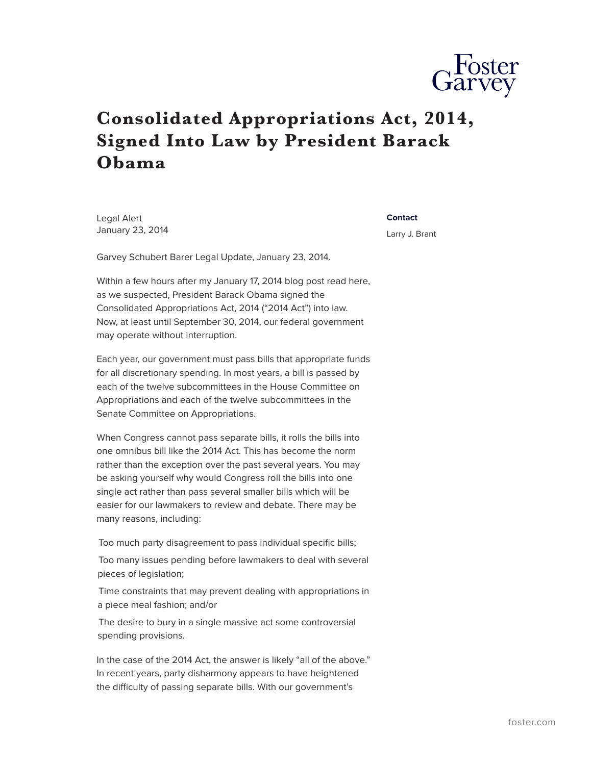

## **Consolidated Appropriations Act, 2014, Signed Into Law by President Barack Obama**

Legal Alert January 23, 2014 **Contact**

Larry J. Brant

Garvey Schubert Barer Legal Update, January 23, 2014.

Within a few hours after my January 17, 2014 blog post read here, as we suspected, President Barack Obama signed the Consolidated Appropriations Act, 2014 ("2014 Act") into law. Now, at least until September 30, 2014, our federal government may operate without interruption.

Each year, our government must pass bills that appropriate funds for all discretionary spending. In most years, a bill is passed by each of the twelve subcommittees in the House Committee on Appropriations and each of the twelve subcommittees in the Senate Committee on Appropriations.

When Congress cannot pass separate bills, it rolls the bills into one omnibus bill like the 2014 Act. This has become the norm rather than the exception over the past several years. You may be asking yourself why would Congress roll the bills into one single act rather than pass several smaller bills which will be easier for our lawmakers to review and debate. There may be many reasons, including:

Too much party disagreement to pass individual specific bills;

Too many issues pending before lawmakers to deal with several pieces of legislation;

Time constraints that may prevent dealing with appropriations in a piece meal fashion; and/or

The desire to bury in a single massive act some controversial spending provisions.

In the case of the 2014 Act, the answer is likely "all of the above." In recent years, party disharmony appears to have heightened the difficulty of passing separate bills. With our government's